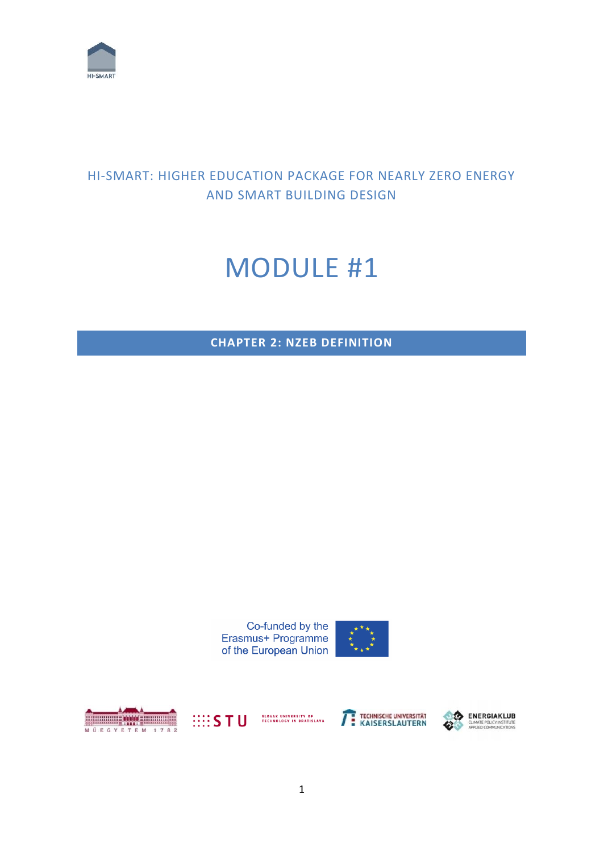

## HI-SMART: HIGHER EDUCATION PACKAGE FOR NEARLY ZERO ENERGY AND SMART BUILDING DESIGN

# MODULE #1

**CHAPTER 2: NZEB DEFINITION**

Co-funded by the Erasmus+ Programme of the European Union







TECHNISCHE UNIVERSITÄT

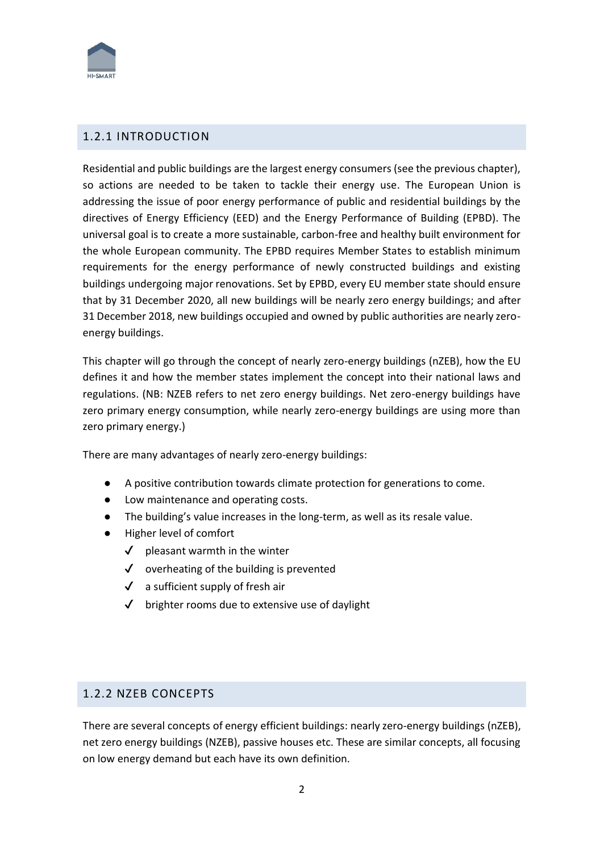

## 1.2.1 INTRODUCTION

Residential and public buildings are the largest energy consumers (see the previous chapter), so actions are needed to be taken to tackle their energy use. The European Union is addressing the issue of poor energy performance of public and residential buildings by the directives of Energy Efficiency (EED) and the Energy Performance of Building (EPBD). The universal goal is to create a more sustainable, carbon-free and healthy built environment for the whole European community. The EPBD requires Member States to establish minimum requirements for the energy performance of newly constructed buildings and existing buildings undergoing major renovations. Set by EPBD, every EU member state should ensure that by 31 December 2020, all new buildings will be nearly zero energy buildings; and after 31 December 2018, new buildings occupied and owned by public authorities are nearly zeroenergy buildings.

This chapter will go through the concept of nearly zero-energy buildings (nZEB), how the EU defines it and how the member states implement the concept into their national laws and regulations. (NB: NZEB refers to net zero energy buildings. Net zero-energy buildings have zero primary energy consumption, while nearly zero-energy buildings are using more than zero primary energy.)

There are many advantages of nearly zero-energy buildings:

- A positive contribution towards climate protection for generations to come.
- Low maintenance and operating costs.
- The building's value increases in the long-term, as well as its resale value.
- Higher level of comfort
	- $\checkmark$  pleasant warmth in the winter
	- $\checkmark$  overheating of the building is prevented
	- $\checkmark$  a sufficient supply of fresh air
	- $\checkmark$  brighter rooms due to extensive use of daylight

## 1.2.2 NZEB CONCEPTS

There are several concepts of energy efficient buildings: nearly zero-energy buildings (nZEB), net zero energy buildings (NZEB), passive houses etc. These are similar concepts, all focusing on low energy demand but each have its own definition.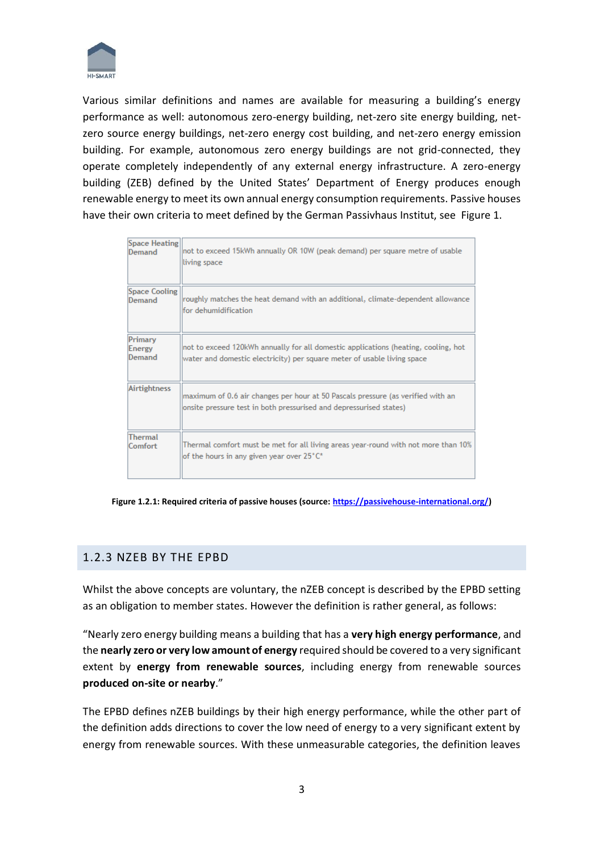

Various similar definitions and names are available for measuring a building's energy performance as well: autonomous zero-energy building, net-zero site energy building, netzero source energy buildings, net-zero energy cost building, and net-zero energy emission building. For example, autonomous zero energy buildings are not grid-connected, they operate completely independently of any external energy infrastructure. A zero-energy building (ZEB) defined by the United States' Department of Energy produces enough renewable energy to meet its own annual energy consumption requirements. Passive houses have their own criteria to meet defined by the German Passivhaus Institut, see Figure 1.

| Space Heating               | not to exceed 15kWh annually OR 10W (peak demand) per square metre of usable                                                                                  |
|-----------------------------|---------------------------------------------------------------------------------------------------------------------------------------------------------------|
| Demand                      | living space                                                                                                                                                  |
| <b>Space Cooling</b>        | roughly matches the heat demand with an additional, climate-dependent allowance                                                                               |
| Demand                      | for dehumidification                                                                                                                                          |
| Primary<br>Energy<br>Demand | not to exceed 120kWh annually for all domestic applications (heating, cooling, hot<br>water and domestic electricity) per square meter of usable living space |
| <b>Airtightness</b>         | maximum of 0.6 air changes per hour at 50 Pascals pressure (as verified with an<br>onsite pressure test in both pressurised and depressurised states)         |
| <b>Thermal</b>              | Thermal comfort must be met for all living areas year-round with not more than 10%                                                                            |
| Comfort                     | of the hours in any given year over 25°C*                                                                                                                     |

**Figure 1.2.1: Required criteria of passive houses (source[: https://passivehouse-international.org/\)](https://passivehouse-international.org/)**

## 1.2.3 NZEB BY THE EPBD

Whilst the above concepts are voluntary, the nZEB concept is described by the EPBD setting as an obligation to member states. However the definition is rather general, as follows:

"Nearly zero energy building means a building that has a **very high energy performance**, and the **nearly zero or very low amount of energy** required should be covered to a very significant extent by **energy from renewable sources**, including energy from renewable sources **produced on-site or nearby**."

The EPBD defines nZEB buildings by their high energy performance, while the other part of the definition adds directions to cover the low need of energy to a very significant extent by energy from renewable sources. With these unmeasurable categories, the definition leaves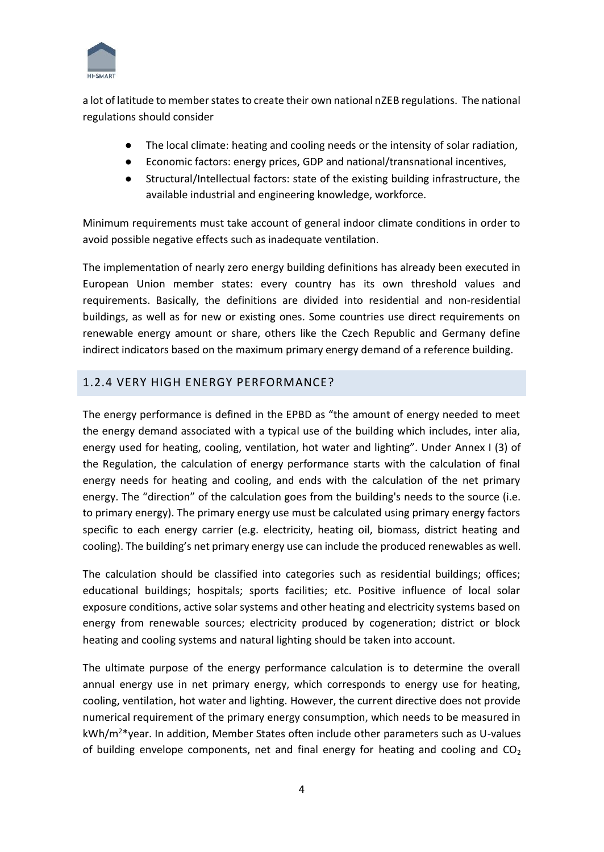

a lot of latitude to member states to create their own national nZEB regulations. The national regulations should consider

- The local climate: heating and cooling needs or the intensity of solar radiation,
- Economic factors: energy prices, GDP and national/transnational incentives,
- Structural/Intellectual factors: state of the existing building infrastructure, the available industrial and engineering knowledge, workforce.

Minimum requirements must take account of general indoor climate conditions in order to avoid possible negative effects such as inadequate ventilation.

The implementation of nearly zero energy building definitions has already been executed in European Union member states: every country has its own threshold values and requirements. Basically, the definitions are divided into residential and non-residential buildings, as well as for new or existing ones. Some countries use direct requirements on renewable energy amount or share, others like the Czech Republic and Germany define indirect indicators based on the maximum primary energy demand of a reference building.

## 1.2.4 VERY HIGH ENERGY PERFORMANCE?

The energy performance is defined in the EPBD as "the amount of energy needed to meet the energy demand associated with a typical use of the building which includes, inter alia, energy used for heating, cooling, ventilation, hot water and lighting". Under Annex I (3) of the Regulation, the calculation of energy performance starts with the calculation of final energy needs for heating and cooling, and ends with the calculation of the net primary energy. The "direction" of the calculation goes from the building's needs to the source (i.e. to primary energy). The primary energy use must be calculated using primary energy factors specific to each energy carrier (e.g. electricity, heating oil, biomass, district heating and cooling). The building's net primary energy use can include the produced renewables as well.

The calculation should be classified into categories such as residential buildings; offices; educational buildings; hospitals; sports facilities; etc. Positive influence of local solar exposure conditions, active solar systems and other heating and electricity systems based on energy from renewable sources; electricity produced by cogeneration; district or block heating and cooling systems and natural lighting should be taken into account.

The ultimate purpose of the energy performance calculation is to determine the overall annual energy use in net primary energy, which corresponds to energy use for heating, cooling, ventilation, hot water and lighting. However, the current directive does not provide numerical requirement of the primary energy consumption, which needs to be measured in kWh/m<sup>2</sup>\*year. In addition, Member States often include other parameters such as U-values of building envelope components, net and final energy for heating and cooling and  $CO<sub>2</sub>$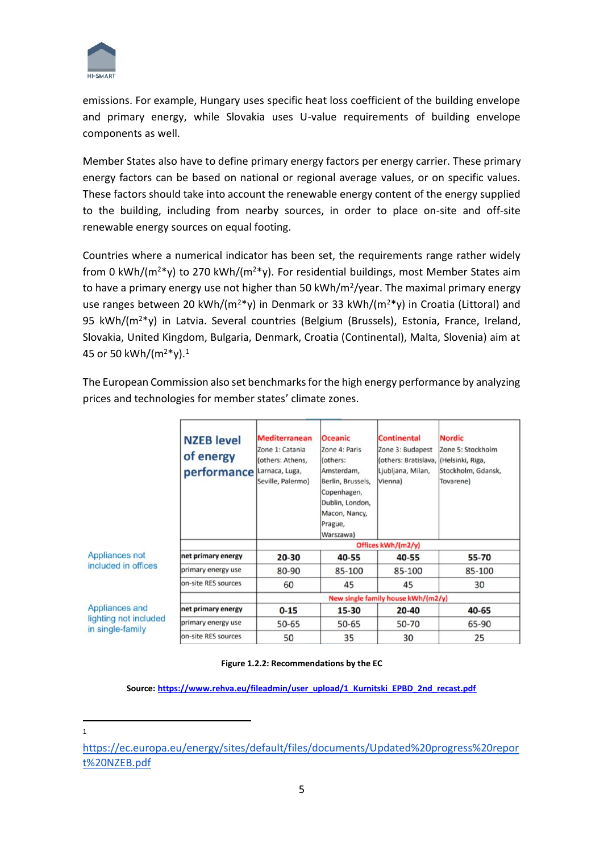

emissions. For example, Hungary uses specific heat loss coefficient of the building envelope and primary energy, while Slovakia uses U-value requirements of building envelope components as well.

Member States also have to define primary energy factors per energy carrier. These primary energy factors can be based on national or regional average values, or on specific values. These factors should take into account the renewable energy content of the energy supplied to the building, including from nearby sources, in order to place on-site and off-site renewable energy sources on equal footing.

Countries where a numerical indicator has been set, the requirements range rather widely from 0 kWh/( $m^{2*}v$ ) to 270 kWh/( $m^{2*}v$ ). For residential buildings, most Member States aim to have a primary energy use not higher than 50 kWh/m<sup>2</sup>/year. The maximal primary energy use ranges between 20 kWh/( $m^{2*}y$ ) in Denmark or 33 kWh/( $m^{2*}y$ ) in Croatia (Littoral) and 95 kWh/(m<sup>2</sup>\*y) in Latvia. Several countries (Belgium (Brussels), Estonia, France, Ireland, Slovakia, United Kingdom, Bulgaria, Denmark, Croatia (Continental), Malta, Slovenia) aim at 45 or 50 kWh/(m<sup>2</sup>\*y).<sup>1</sup>

|                                                             | <b>Mediterranean</b><br><b>NZEB</b> level<br>Zone 1: Catania<br>of energy<br>(others: Athens,<br>performance<br>Larnaca, Luga,<br>Seville, Palermo) |                    | <b>Oceanic</b><br>Zone 4: Paris<br>(others:<br>Amsterdam,<br>Berlin, Brussels,<br>Copenhagen,<br>Dublin, London,<br>Macon, Nancy,<br>Prague,<br>Warszawa) | <b>Continental</b><br>Zone 3: Budapest<br>(others: Bratislava, (Helsinki, Riga,<br>Ljubljana, Milan,<br>Vienna) | <b>Nordic</b><br>Zone 5: Stockholm<br>Stockholm, Gdansk,<br>Tovarene) |  |  |  |  |  |  |  |  |  |
|-------------------------------------------------------------|-----------------------------------------------------------------------------------------------------------------------------------------------------|--------------------|-----------------------------------------------------------------------------------------------------------------------------------------------------------|-----------------------------------------------------------------------------------------------------------------|-----------------------------------------------------------------------|--|--|--|--|--|--|--|--|--|
|                                                             |                                                                                                                                                     | Offices kWh/(m2/y) |                                                                                                                                                           |                                                                                                                 |                                                                       |  |  |  |  |  |  |  |  |  |
| <b>Appliances not</b>                                       | net primary energy                                                                                                                                  | $20 - 30$          | 40-55                                                                                                                                                     | 40-55                                                                                                           | 55-70                                                                 |  |  |  |  |  |  |  |  |  |
| included in offices                                         | primary energy use                                                                                                                                  | 80-90              | 85-100                                                                                                                                                    | 85-100                                                                                                          | 85-100                                                                |  |  |  |  |  |  |  |  |  |
|                                                             | on-site RES sources                                                                                                                                 | 60                 | 45                                                                                                                                                        | 45                                                                                                              | 30                                                                    |  |  |  |  |  |  |  |  |  |
|                                                             |                                                                                                                                                     |                    | New single family house kWh/(m2/y)                                                                                                                        |                                                                                                                 |                                                                       |  |  |  |  |  |  |  |  |  |
| Appliances and<br>lighting not included<br>in single-family | net primary energy                                                                                                                                  | $0 - 15$           | 15-30                                                                                                                                                     | 20-40                                                                                                           | 40-65                                                                 |  |  |  |  |  |  |  |  |  |
|                                                             | primary energy use                                                                                                                                  | $50 - 65$          | $50 - 65$                                                                                                                                                 | 50-70                                                                                                           | 65-90                                                                 |  |  |  |  |  |  |  |  |  |
|                                                             | on-site RES sources                                                                                                                                 | 50                 | 35                                                                                                                                                        | 30                                                                                                              | 25                                                                    |  |  |  |  |  |  |  |  |  |

The European Commission also set benchmarks for the high energy performance by analyzing prices and technologies for member states' climate zones.

#### **Figure 1.2.2: Recommendations by the EC**

**Source: [https://www.rehva.eu/fileadmin/user\\_upload/1\\_Kurnitski\\_EPBD\\_2nd\\_recast.pdf](https://www.rehva.eu/fileadmin/user_upload/1_Kurnitski_EPBD_2nd_recast.pdf)**

1

[https://ec.europa.eu/energy/sites/default/files/documents/Updated%20progress%20repor](https://ec.europa.eu/energy/sites/default/files/documents/Updated%20progress%20report%20NZEB.pdf) [t%20NZEB.pdf](https://ec.europa.eu/energy/sites/default/files/documents/Updated%20progress%20report%20NZEB.pdf)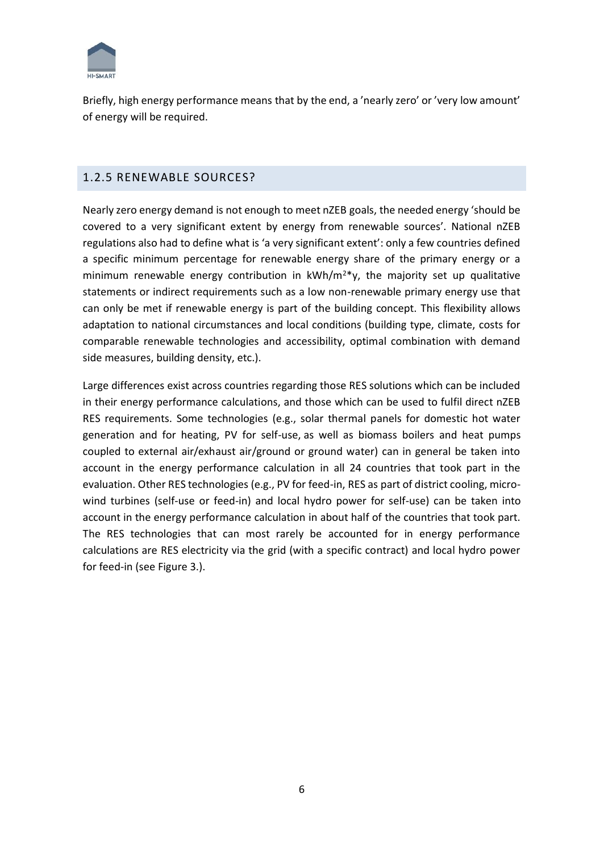

Briefly, high energy performance means that by the end, a 'nearly zero' or 'very low amount' of energy will be required.

## 1.2.5 RENEWABLE SOURCES?

Nearly zero energy demand is not enough to meet nZEB goals, the needed energy 'should be covered to a very significant extent by energy from renewable sources'. National nZEB regulations also had to define what is 'a very significant extent': only a few countries defined a specific minimum percentage for renewable energy share of the primary energy or a minimum renewable energy contribution in  $kWh/m^2$ , the majority set up qualitative statements or indirect requirements such as a low non-renewable primary energy use that can only be met if renewable energy is part of the building concept. This flexibility allows adaptation to national circumstances and local conditions (building type, climate, costs for comparable renewable technologies and accessibility, optimal combination with demand side measures, building density, etc.).

Large differences exist across countries regarding those RES solutions which can be included in their energy performance calculations, and those which can be used to fulfil direct nZEB RES requirements. Some technologies (e.g., solar thermal panels for domestic hot water generation and for heating, PV for self-use, as well as biomass boilers and heat pumps coupled to external air/exhaust air/ground or ground water) can in general be taken into account in the energy performance calculation in all 24 countries that took part in the evaluation. Other RES technologies (e.g., PV for feed-in, RES as part of district cooling, microwind turbines (self-use or feed-in) and local hydro power for self-use) can be taken into account in the energy performance calculation in about half of the countries that took part. The RES technologies that can most rarely be accounted for in energy performance calculations are RES electricity via the grid (with a specific contract) and local hydro power for feed-in (see Figure 3.).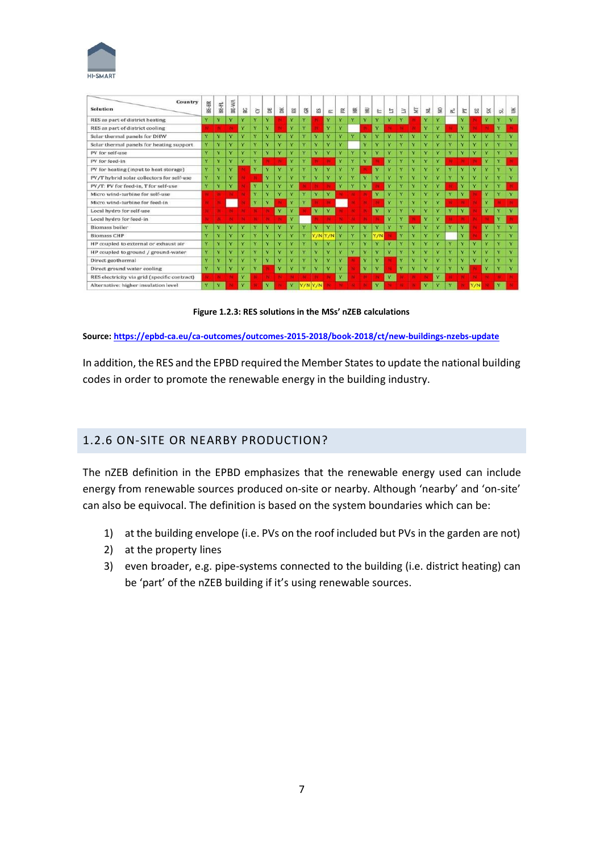

| Country<br>Solution                          | BE-BR | $BE-FL$                 | BE-WA        | BG <sub>1</sub>         | õ            | 居  | ×                       | 믋                       | $\approx$               | 凶                       | $\overline{ex}$      | 臣            | 臣            | $\Xi$        | E                       | E  | Β | Ĕ                       | 兰            | $\mathbf{R}$         | $\overline{\alpha}$     | 乞            | 52                      | SK                      | SL,          | š                       |
|----------------------------------------------|-------|-------------------------|--------------|-------------------------|--------------|----|-------------------------|-------------------------|-------------------------|-------------------------|----------------------|--------------|--------------|--------------|-------------------------|----|---|-------------------------|--------------|----------------------|-------------------------|--------------|-------------------------|-------------------------|--------------|-------------------------|
| RES as part of district heating              | v     | v                       | $\mathbf{v}$ | v                       | v            | Ÿ  |                         | v                       | v                       |                         | v                    | v            | $\mathbf{v}$ | Y.           | v                       | v  | v |                         | v            | v                    |                         | Ÿ            |                         | Y.                      | v            |                         |
| RES as part of district cooling              |       |                         |              | v                       | v            | v. |                         | v                       | $\checkmark$            |                         | v                    | v            |              |              | v                       |    |   |                         | v            | $\ddot{\phantom{1}}$ |                         | v            |                         |                         | v            |                         |
| Solar thermal panels for DHW                 | v     | $\mathbf v$             | $\mathbf{v}$ | v                       | Y            | Ÿ  | $\overline{\mathbf{Y}}$ | $\mathbf{v}$            | $\mathbf{v}$            | $\overline{\mathbf{v}}$ | $\ddot{\phantom{1}}$ | $\mathbf{v}$ | $\mathbf{v}$ | $\mathbf{v}$ | $\mathbf{v}$            | v  | Ÿ | Y                       | Ÿ            | $\mathbf{v}$         | $\overline{\mathbf{v}}$ | v            | v                       | $\overline{\mathbf{v}}$ | $\mathbf{v}$ | <b>V</b>                |
| Solar thermal panels for heating support     | Y     | $\overline{\mathbf{v}}$ | v            | v                       | $\mathbf{v}$ | v  | v                       | v                       | v                       | $\mathbf{v}$            | v                    | $\mathbf{v}$ |              | v            | $\mathbf{v}$            | v  | v | v                       | v            | $\mathbf{v}$         | $\mathbf{v}$            | v            | $\mathbf{v}$            | v.                      | v            | v                       |
| PV for self-use                              | Ÿ     | $\mathbf{v}$            | v.           | v                       | $\mathbf{v}$ | v. | v                       | v                       | $\mathbf{v}$            | $\mathbf{v}$            | v                    | v            | $\mathbf{v}$ | $\mathbf{v}$ | $\mathbf{v}$            | v  | Ÿ | v                       | $\checkmark$ | $\mathbf{v}$         | v                       | v            | v                       | v                       | $\mathbf v$  | v                       |
| PV for feed-in                               | Ÿ     | $\overline{\mathbf{v}}$ | v            | v                       | $\mathbf{v}$ |    |                         | v                       | $\overline{\mathbf{v}}$ |                         |                      | v            | v.           | v            |                         | v  | Ÿ | v                       | v            | $\mathbf{v}$         |                         |              |                         | v.                      | $\mathbf{v}$ |                         |
| PV for heating (input to heat storage)       | Ÿ     | v                       | $\bullet$    |                         | $\mathbf{v}$ | v  | v                       | $\overline{\mathbf{v}}$ | $\overline{\mathbf{v}}$ | $\mathbf{v}$            | $\mathbf{v}$         | $\mathbf v$  | v            |              | $\mathbf{v}$            | v  | Ÿ | v                       | $\checkmark$ | $\mathbf v$          | v                       | v            | $\overline{\mathbf{v}}$ | $\mathbf{v}$            | $\mathbf{v}$ | v                       |
| PV/T hybrid solar collectors for self-use    | Ÿ     | $\overline{\mathbf{v}}$ |              |                         |              | Y  | Y                       | v                       | v                       | v                       | v                    | $\mathbf{v}$ | v            | $\mathbf{v}$ | v                       | v. | Y | Y                       | v            | v                    | v                       | v            | $\checkmark$            | $\mathbf{v}$            | v            | v                       |
| PV/T: PV for feed-in. T for self-use         | Y     | v                       | v            |                         | v            | Y  | Y                       | Y                       |                         |                         |                      | Y            | v            | $\mathbf{v}$ |                         | v. | Ÿ | v                       | v            | $\mathbf{v}$         |                         | $\mathbf{v}$ | v                       | v.                      | v            |                         |
| Micro wind-turbine for self-use              |       |                         |              |                         | v            | Ÿ  | v                       | v                       | $\overline{\mathbf{v}}$ | $\overline{\mathbf{v}}$ | v                    |              |              |              | $\mathbf{v}$            | v  | Y | $\mathbf{v}$            | v            | $\mathbf{v}$         | $\mathbf{v}$            | v            |                         | v.                      | $\mathbf{v}$ | $\overline{\mathbf{v}}$ |
| Micro wind-turbine for feed-in               |       |                         |              |                         | v            | Ÿ  |                         | v                       | v                       |                         |                      |              |              |              |                         | Ÿ  | Y | v                       | v            | v                    |                         |              |                         | v                       |              |                         |
| Local hydro for self-use                     |       |                         |              |                         |              |    | Y                       | v                       |                         | Y                       | v                    |              |              |              | $\overline{\mathbf{Y}}$ | Y. | Y | $\overline{\mathbf{Y}}$ | v            | v                    | v                       | Y            |                         | Y                       | v            | $\mathbf{v}$            |
| Local hydro for feed-in                      |       |                         |              |                         |              |    |                         | v                       |                         |                         |                      |              |              |              |                         | Y. | Y |                         | Y            | Y                    |                         |              |                         |                         | v            |                         |
| <b>Biomass boiler</b>                        | Ÿ     | v                       |              | v                       | v            | v  | v                       | v                       | v                       | $\overline{\mathbf{v}}$ | v                    | v            | v            | v            | $\mathbf{v}$            | v  | Ÿ | Y                       | Ÿ            | $\mathbf{v}$         | v                       | Ÿ            |                         | Y                       | v            | v                       |
| <b>Biomass CHP</b>                           | v     | $\overline{\mathbf{v}}$ | v            | v                       | $\mathbf{v}$ | Ÿ  | Y                       | v                       | $\overline{\mathbf{v}}$ |                         | <b>V/N V/N</b>       | v            | $\mathbf{v}$ | v            | <b>V/N</b>              |    | Y | v                       | Y            | $\mathbf{v}$         |                         | v            |                         | v                       | $\mathbf{v}$ | v                       |
| HP coupled to external or exhaust air        | Ÿ     | $\mathbf v$             | $\mathbf{v}$ | $\mathbf{v}$            | v.           | v  | v                       | v                       | v                       | v                       | v                    | $\mathbf{v}$ | $\bullet$    | $\mathbf{v}$ | $\mathbf{v}$            | v  | v | $\mathbf{v}$            | $\mathbf v$  | $\mathbf v$          | $\bullet$               | v.           | v                       | $\ddot{\mathbf{v}}$     | v            | v                       |
| HP coupled to ground / ground-water          | Ÿ     | $\mathbf{v}$            | $\mathbf{v}$ | Ÿ                       | $\mathbf{v}$ | Ÿ  | v                       | v                       | v                       | $\mathbf{v}$            | v                    | $\mathbf{v}$ | $\mathbf{v}$ | v.           | v                       | v. | Ÿ | v                       | v.           | $\mathbf{v}$         | $\mathbf{v}$            | $\mathbf{v}$ | v                       | v                       | Y            | v.                      |
| Direct geothermal                            | Ÿ     | v                       | v.           | v                       | v            | v  | v                       | v                       | $\mathbf{v}$            | v                       | v                    | $\mathbf{v}$ |              | $\mathbf{v}$ | $\mathbf{v}$            |    | Y | v                       | v            | $\mathbf{v}$         | v                       | $\mathbf{v}$ | $\mathbf{v}$            | v.                      | v            | v                       |
| Direct ground water cooling                  | Y     | v                       | v            | v                       | v            |    | Y                       | Ÿ                       | v                       | $\ddot{\phantom{1}}$    | v                    | v            |              | v            | ×                       |    | Ÿ | v                       | v            | $\mathbf v$          | v                       | v            |                         | v                       |              | v                       |
| RES electricity via grid (specific contract) |       |                         |              | Y                       |              |    |                         |                         |                         |                         |                      | v            |              |              |                         | Y. |   |                         |              | v                    |                         |              |                         |                         |              |                         |
| Alternative: higher insulation level         | Y.    | $\overline{\mathbf{v}}$ |              | $\overline{\mathbf{v}}$ |              |    |                         |                         |                         |                         |                      |              |              |              | v                       |    |   |                         | Y            | $\mathbf{v}$         |                         |              |                         |                         |              |                         |

**Figure 1.2.3: RES solutions in the MSs' nZEB calculations**

**Source[: https://epbd-ca.eu/ca-outcomes/outcomes-2015-2018/book-2018/ct/new-buildings-nzebs-update](https://epbd-ca.eu/ca-outcomes/outcomes-2015-2018/book-2018/ct/new-buildings-nzebs-update)** 

In addition, the RES and the EPBD required the Member States to update the national building codes in order to promote the renewable energy in the building industry.

## 1.2.6 ON-SITE OR NEARBY PRODUCTION?

The nZEB definition in the EPBD emphasizes that the renewable energy used can include energy from renewable sources produced on-site or nearby. Although 'nearby' and 'on-site' can also be equivocal. The definition is based on the system boundaries which can be:

- 1) at the building envelope (i.e. PVs on the roof included but PVs in the garden are not)
- 2) at the property lines
- 3) even broader, e.g. pipe-systems connected to the building (i.e. district heating) can be 'part' of the nZEB building if it's using renewable sources.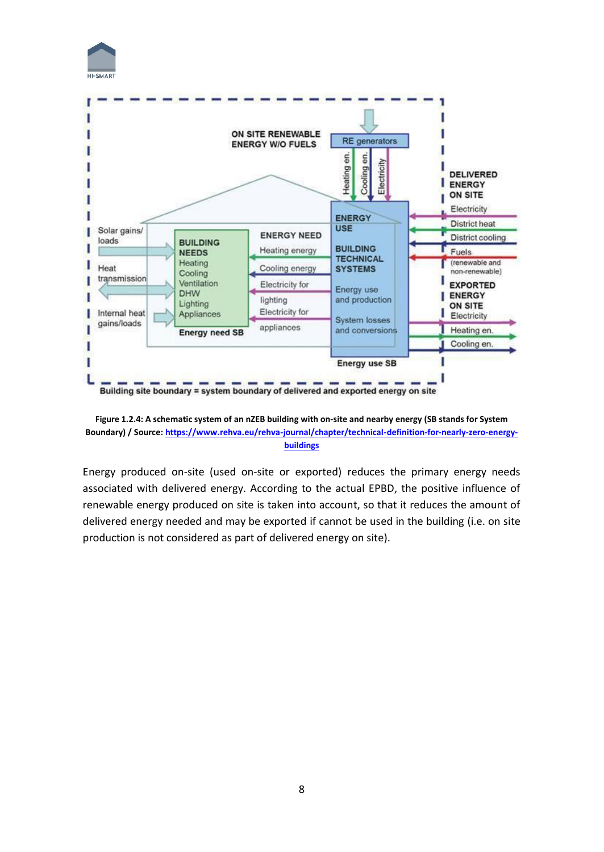



Building site boundary = system boundary of delivered and exported energy on site



Energy produced on-site (used on-site or exported) reduces the primary energy needs associated with delivered energy. According to the actual EPBD, the positive influence of renewable energy produced on site is taken into account, so that it reduces the amount of delivered energy needed and may be exported if cannot be used in the building (i.e. on site production is not considered as part of delivered energy on site).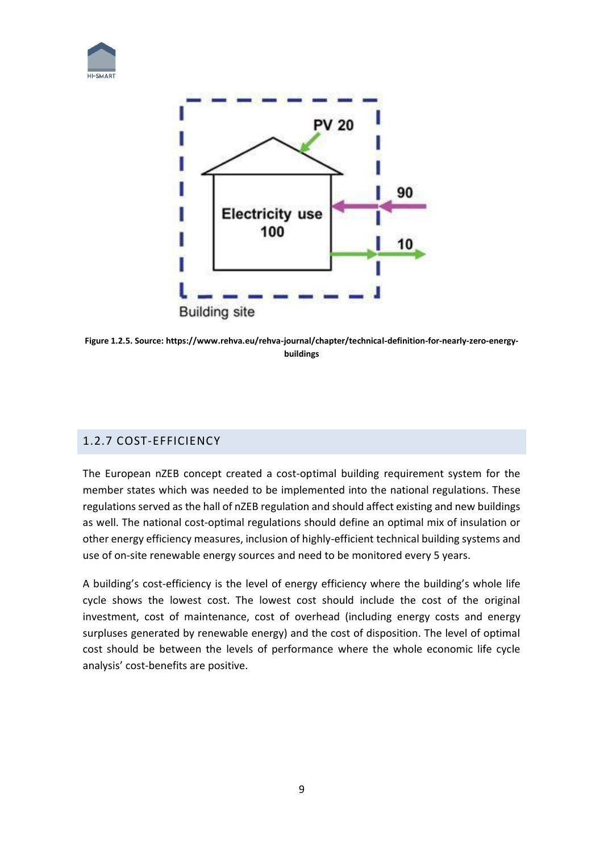



**Figure 1.2.5. Source: [https://www.rehva.eu/rehva-journal/chapter/technical-definition-for-nearly-zero-energy](https://www.rehva.eu/rehva-journal/chapter/technical-definition-for-nearly-zero-energy-buildings)[buildings](https://www.rehva.eu/rehva-journal/chapter/technical-definition-for-nearly-zero-energy-buildings)**

## 1.2.7 COST-EFFICIENCY

The European nZEB concept created a cost-optimal building requirement system for the member states which was needed to be implemented into the national regulations. These regulations served as the hall of nZEB regulation and should affect existing and new buildings as well. The national cost-optimal regulations should define an optimal mix of insulation or other energy efficiency measures, inclusion of highly-efficient technical building systems and use of on-site renewable energy sources and need to be monitored every 5 years.

A building's cost-efficiency is the level of energy efficiency where the building's whole life cycle shows the lowest cost. The lowest cost should include the cost of the original investment, cost of maintenance, cost of overhead (including energy costs and energy surpluses generated by renewable energy) and the cost of disposition. The level of optimal cost should be between the levels of performance where the whole economic life cycle analysis' cost-benefits are positive.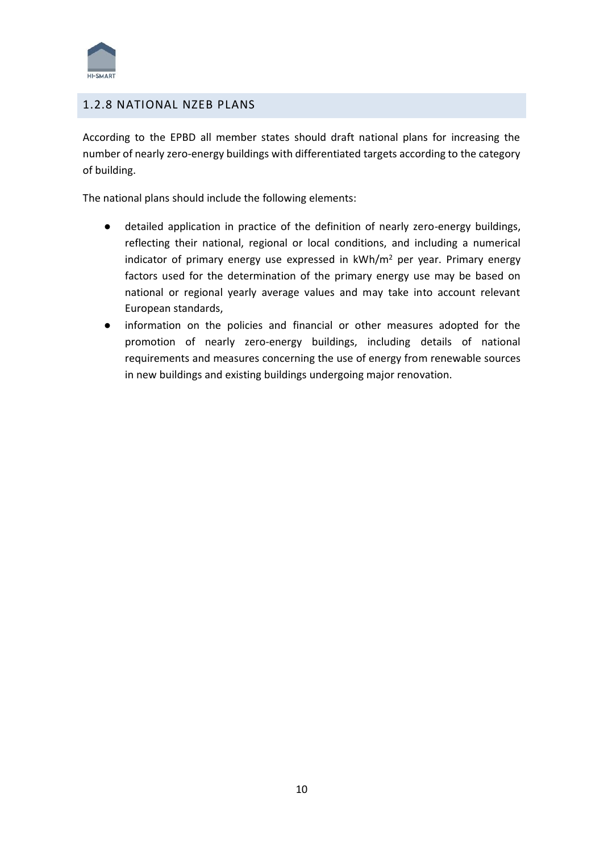

## 1.2.8 NATIONAL NZEB PLANS

According to the EPBD all member states should draft national plans for increasing the number of nearly zero-energy buildings with differentiated targets according to the category of building.

The national plans should include the following elements:

- detailed application in practice of the definition of nearly zero-energy buildings, reflecting their national, regional or local conditions, and including a numerical indicator of primary energy use expressed in kWh/m<sup>2</sup> per year. Primary energy factors used for the determination of the primary energy use may be based on national or regional yearly average values and may take into account relevant European standards,
- information on the policies and financial or other measures adopted for the promotion of nearly zero-energy buildings, including details of national requirements and measures concerning the use of energy from renewable sources in new buildings and existing buildings undergoing major renovation.